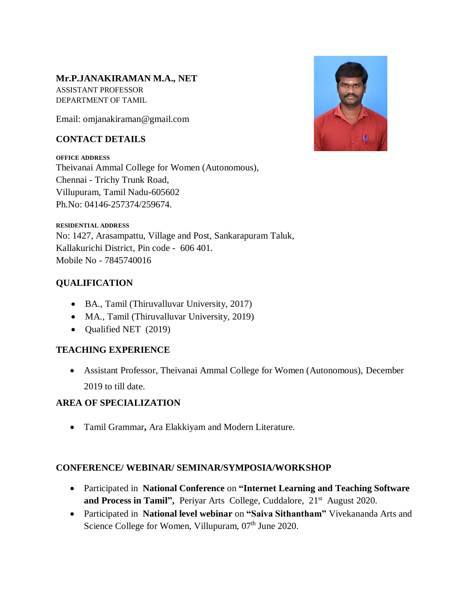#### **Mr.P.JANAKIRAMAN M.A., NET**

ASSISTANT PROFESSOR DEPARTMENT OF TAMIL

Email: omjanakiraman@gmail.com

### **CONTACT DETAILS**

**OFFICE ADDRESS** Theivanai Ammal College for Women (Autonomous), Chennai - Trichy Trunk Road, Villupuram, Tamil Nadu-605602 Ph.No: 04146-257374/259674.



# **QUALIFICATION**

- BA., Tamil (Thiruvalluvar University, 2017)
- MA., Tamil (Thiruvalluvar University, 2019)
- Qualified NET (2019)

### **TEACHING EXPERIENCE**

 Assistant Professor, Theivanai Ammal College for Women (Autonomous), December 2019 to till date.

# **AREA OF SPECIALIZATION**

Tamil Grammar**,** Ara Elakkiyam and Modern Literature.

### **CONFERENCE/ WEBINAR/ SEMINAR/SYMPOSIA/WORKSHOP**

- Participated in **National Conference** on **"Internet Learning and Teaching Software**  and Process in Tamil", Periyar Arts College, Cuddalore, 21<sup>st</sup> August 2020.
- Participated in **National level webinar** on **"Saiva Sithantham"** Vivekananda Arts and Science College for Women, Villupuram, 07<sup>th</sup> June 2020.